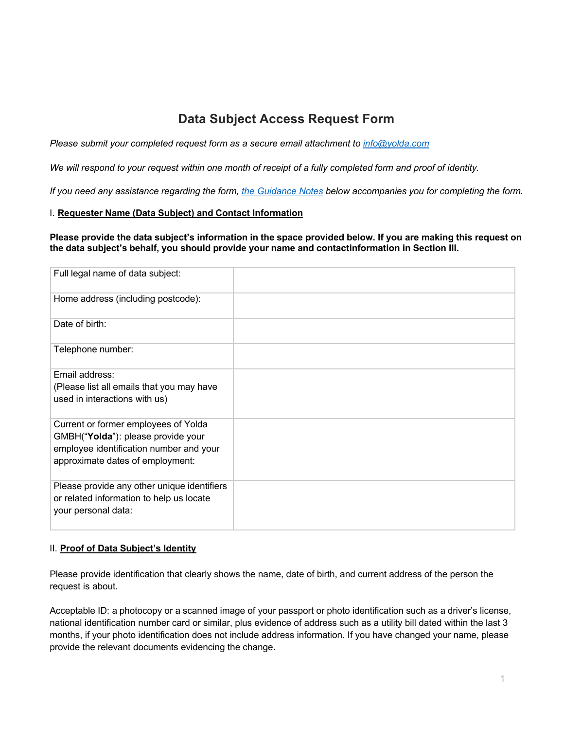# **Data Subject Access Request Form**

*Please submit your completed request form as a secure email attachment to info@yolda.com*

We will respond to your request within one month of receipt of a fully completed form and proof of identity.

*If you need any assistance regarding the form, the Guidance Notes below accompanies you for completing the form.*

## I. **Requester Name (Data Subject) and Contact Information**

**Please provide the data subject's information in the space provided below. If you are making this request on the data subject's behalf, you should provide your name and contactinformation in Section III.**

| Full legal name of data subject:                                                                                                                          |  |
|-----------------------------------------------------------------------------------------------------------------------------------------------------------|--|
| Home address (including postcode):                                                                                                                        |  |
| Date of birth:                                                                                                                                            |  |
| Telephone number:                                                                                                                                         |  |
| Email address:                                                                                                                                            |  |
| (Please list all emails that you may have<br>used in interactions with us)                                                                                |  |
| Current or former employees of Yolda<br>GMBH("Yolda"): please provide your<br>employee identification number and your<br>approximate dates of employment: |  |
| Please provide any other unique identifiers<br>or related information to help us locate<br>your personal data:                                            |  |

#### II. **Proof of Data Subject's Identity**

Please provide identification that clearly shows the name, date of birth, and current address of the person the request is about.

Acceptable ID: a photocopy or a scanned image of your passport or photo identification such as a driver's license, national identification number card or similar, plus evidence of address such as a utility bill dated within the last 3 months, if your photo identification does not include address information. If you have changed your name, please provide the relevant documents evidencing the change.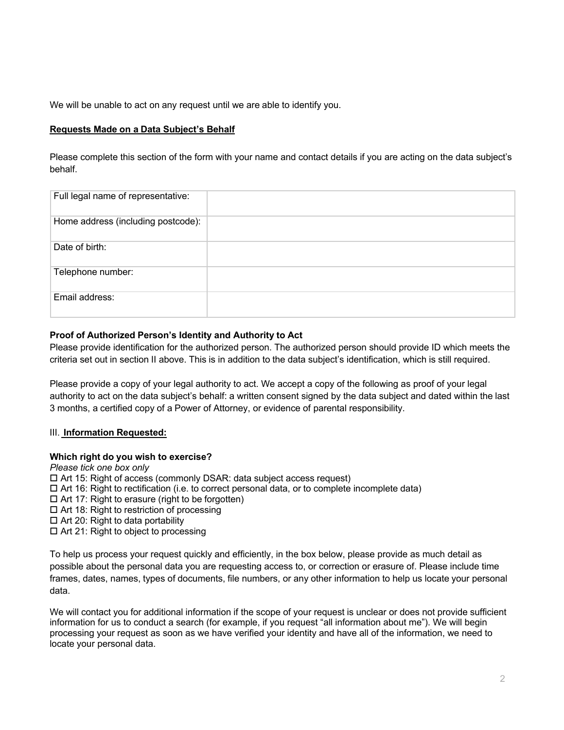We will be unable to act on any request until we are able to identify you.

# **Requests Made on a Data Subject's Behalf**

Please complete this section of the form with your name and contact details if you are acting on the data subject's behalf.

| Full legal name of representative: |  |
|------------------------------------|--|
| Home address (including postcode): |  |
| Date of birth:                     |  |
| Telephone number:                  |  |
| Email address:                     |  |

# **Proof of Authorized Person's Identity and Authority to Act**

Please provide identification for the authorized person. The authorized person should provide ID which meets the criteria set out in section II above. This is in addition to the data subject's identification, which is still required.

Please provide a copy of your legal authority to act. We accept a copy of the following as proof of your legal authority to act on the data subject's behalf: a written consent signed by the data subject and dated within the last 3 months, a certified copy of a Power of Attorney, or evidence of parental responsibility.

# III. **Information Requested:**

## **Which right do you wish to exercise?**

*Please tick one box only*  $\Box$  Art 15: Right of access (commonly DSAR: data subject access request)  $\Box$  Art 16: Right to rectification (i.e. to correct personal data, or to complete incomplete data)  $\Box$  Art 17: Right to erasure (right to be forgotten)  $\square$  Art 18: Right to restriction of processing  $\Box$  Art 20: Right to data portability  $\Box$  Art 21: Right to object to processing To help us process your request quickly and efficiently, in the box below, please provide as much detail as

possible about the personal data you are requesting access to, or correction or erasure of. Please include time frames, dates, names, types of documents, file numbers, or any other information to help us locate your personal data.

We will contact you for additional information if the scope of your request is unclear or does not provide sufficient information for us to conduct a search (for example, if you request "all information about me"). We will begin processing your request as soon as we have verified your identity and have all of the information, we need to locate your personal data.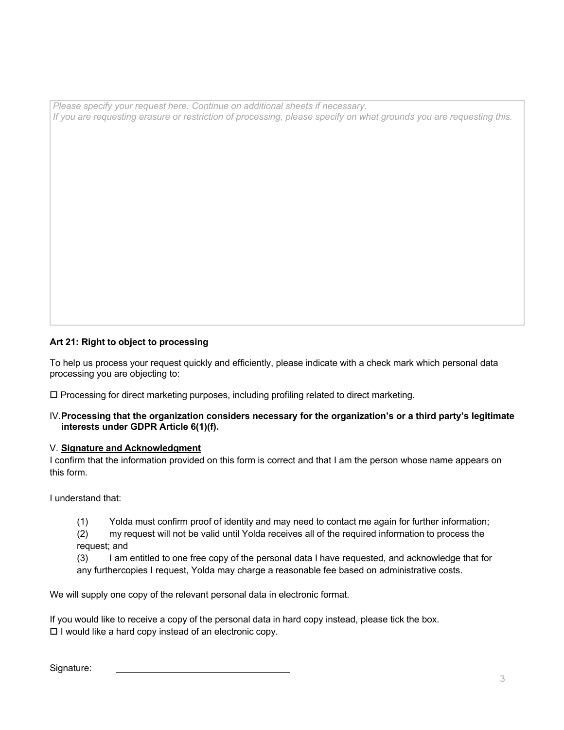*Please specify your request here. Continue on additional sheets if necessary.* If you are requesting erasure or restriction of processing, please specify on what grounds you are requesting this.

# **Art 21: Right to object to processing**

To help us process your request quickly and efficiently, please indicate with a check mark which personal data processing you are objecting to:

 $\Box$  Processing for direct marketing purposes, including profiling related to direct marketing.

#### IV.**Processing that the organization considers necessary for the organization's or a third party's legitimate interests under GDPR Article 6(1)(f).**

## V. **Signature and Acknowledgment**

I confirm that the information provided on this form is correct and that I am the person whose name appears on this form.

I understand that:

- (1) Yolda must confirm proof of identity and may need to contact me again for further information;
- (2) my request will not be valid until Yolda receives all of the required information to process the request; and

(3) I am entitled to one free copy of the personal data I have requested, and acknowledge that for any furthercopies I request, Yolda may charge a reasonable fee based on administrative costs.

We will supply one copy of the relevant personal data in electronic format.

If you would like to receive a copy of the personal data in hard copy instead, please tick the box.  $\Box$  I would like a hard copy instead of an electronic copy.